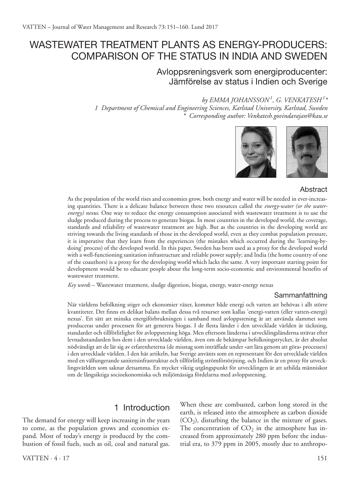# WASTEWATER TREATMENT PLANTS AS ENERGY-PRODUCERS: Comparison of the status in India and Sweden

# Avloppsreningsverk som energiproducenter: Jämförelse av status i Indien och Sverige

### *by Emma Johansson<sup>1</sup> , G. Venkatesh<sup>1</sup> \**

*1 Department of Chemical and Engineering Sciences, Karlstad University, Karlstad, Sweden \* Corresponding author: Venkatesh.govindarajan@kau.se*



#### **Abstract**

As the population of the world rises and economies grow, both energy and water will be needed in ever-increasing quantities. There is a delicate balance between these two resources called the *energy-water (or the waterenergy) nexus*. One way to reduce the energy consumption associated with wastewater treatment is to use the sludge produced during the process to generate biogas. In most countries in the developed world, the coverage, standards and reliability of wastewater treatment are high. But as the countries in the developing world are striving towards the living standards of those in the developed world, even as they combat population pressure, it is imperative that they learn from the experiences (the mistakes which occurred during the 'learning-bydoing' process) of the developed world. In this paper, Sweden has been used as a proxy for the developed world with a well-functioning sanitation infrastructure and reliable power supply; and India (the home country of one of the coauthors) is a proxy for the developing world which lacks the same. A very important starting point for development would be to educate people about the long-term socio-economic and environmental benefits of wastewater treatment.

*Key words* – Wastewater treatment, sludge digestion, biogas, energy, water-energy nexus

#### Sammanfattning

När världens befolkning stiger och ekonomier växer, kommer både energi och vatten att behövas i allt större kvantiteter. Det finns en delikat balans mellan dessa två resurser som kallas 'energi-vatten (eller vatten-energi) nexus'. Ett sätt att minska energiförbrukningen i samband med avloppsrening är att använda slammet som produceras under processen för att generera biogas. I de flesta länder i den utvecklade världen är täckning, standarder och tillförlitlighet för avloppsrening höga. Men eftersom länderna i utvecklingsländerna strävar efter levnadsstandarden hos dem i den utvecklade världen, även om de bekämpar befolkningstrycket, är det absolut nödvändigt att de lär sig av erfarenheterna (de misstag som inträffade under »att lära genom att göra» processen) i den utvecklade världen. I den här artikeln, har Sverige använts som en representant för den utvecklade världen med en välfungerande sanitetsinfrastruktur och tillförlitlig strömförsörjning. och Indien är en proxy för utvecklingsvärlden som saknar detsamma. En mycket viktig utgångspunkt för utvecklingen är att utbilda människor om de långsiktiga socioekonomiska och miljömässiga fördelarna med avloppsrening.

# 1 Introduction

The demand for energy will keep increasing in the years to come, as the population grows and economies expand. Most of today's energy is produced by the combustion of fossil fuels, such as oil, coal and natural gas.

When these are combusted, carbon long stored in the earth, is released into the atmosphere as carbon dioxide  $(CO<sub>2</sub>)$ , disturbing the balance in the mixture of gases. The concentration of  $CO<sub>2</sub>$  in the atmosphere has increased from approximately 280 ppm before the industrial era, to 379 ppm in 2005, mostly due to anthropo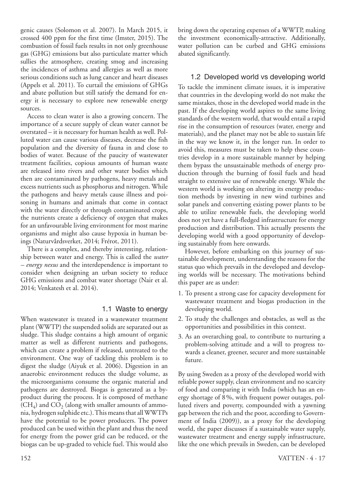genic causes (Solomon et al. 2007). In March 2015, it crossed 400 ppm for the first time (Imster, 2015). The combustion of fossil fuels results in not only greenhouse gas (GHG) emissions but also particulate matter which sullies the atmosphere, creating smog and increasing the incidences of asthma and allergies as well as more serious conditions such as lung cancer and heart diseases (Appels et al. 2011). To curtail the emissions of GHGs and abate pollution but still satisfy the demand for energy it is necessary to explore new renewable energy sources.

Access to clean water is also a growing concern. The importance of a secure supply of clean water cannot be overstated – it is necessary for human health as well. Polluted water can cause various diseases, decrease the fish population and the diversity of fauna in and close to bodies of water. Because of the paucity of wastewater treatment facilities, copious amounts of human waste are released into rivers and other water bodies which then are contaminated by pathogens, heavy metals and excess nutrients such as phosphorus and nitrogen. While the pathogens and heavy metals cause illness and poisoning in humans and animals that come in contact with the water directly or through contaminated crops, the nutrients create a deficiency of oxygen that makes for an unfavourable living environment for most marine organisms and might also cause hypoxia in human beings (Naturvårdsverket, 2014; Frérot, 2011).

There is a complex, and thereby interesting, relationship between water and energy. This is called the *water – energy nexus* and the interdependence is important to consider when designing an urban society to reduce GHG emissions and combat water shortage (Nair et al. 2014; Venkatesh et al. 2014).

#### 1.1 Waste to energy

When wastewater is treated in a wastewater treatment plant (WWTP) the suspended solids are separated out as sludge. This sludge contains a high amount of organic matter as well as different nutrients and pathogens, which can create a problem if released, untreated to the environment. One way of tackling this problem is to digest the sludge (Aiyuk et al. 2006). Digestion in an anaerobic environment reduces the sludge volume, as the microorganisms consume the organic material and pathogens are destroyed. Biogas is generated as a byproduct during the process. It is composed of methane  $(CH<sub>4</sub>)$  and  $CO<sub>2</sub>$  (along with smaller amounts of ammonia, hydrogen sulphide etc.). This means that all WWTPs have the potential to be power producers. The power produced can be used within the plant and thus the need for energy from the power grid can be reduced, or the biogas can be up-graded to vehicle fuel. This would also bring down the operating expenses of a WWTP, making the investment economically-attractive. Additionally, water pollution can be curbed and GHG emissions abated significantly.

#### 1.2 Developed world vs developing world

To tackle the imminent climate issues, it is imperative that countries in the developing world do not make the same mistakes, those in the developed world made in the past. If the developing world aspires to the same living standards of the western world, that would entail a rapid rise in the consumption of resources (water, energy and materials), and the planet may not be able to sustain life in the way we know it, in the longer run. In order to avoid this, measures must be taken to help these countries develop in a more sustainable manner by helping them bypass the unsustainable methods of energy production through the burning of fossil fuels and head straight to extensive use of renewable energy. While the western world is working on altering its energy production methods by investing in new wind turbines and solar panels and converting existing power plants to be able to utilize renewable fuels, the developing world does not yet have a full-fledged infrastructure for energy production and distribution. This actually presents the developing world with a good opportunity of developing sustainably from here onwards.

However, before embarking on this journey of sustainable development, understanding the reasons for the status quo which prevails in the developed and developing worlds will be necessary. The motivations behind this paper are as under:

- 1. To present a strong case for capacity development for wastewater treatment and biogas production in the developing world.
- 2. To study the challenges and obstacles, as well as the opportunities and possibilities in this context.
- 3. As an overarching goal, to contribute to nurturing a problem-solving attitude and a will to progress towards a cleaner, greener, securer and more sustainable future.

By using Sweden as a proxy of the developed world with reliable power supply, clean environment and no scarcity of food and comparing it with India (which has an energy shortage of 8%, with frequent power outages, polluted rivers and poverty, compounded with a yawning gap between the rich and the poor, according to Government of India (2009)), as a proxy for the developing world, the paper discusses if a sustainable water supply, wastewater treatment and energy supply infrastructure, like the one which prevails in Sweden, can be developed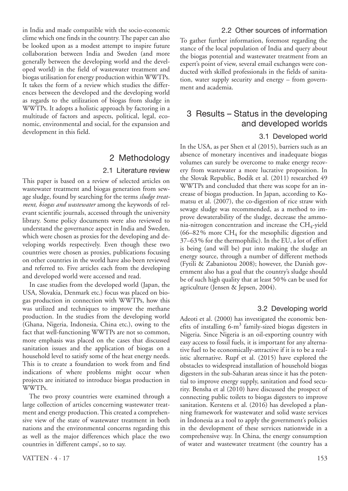in India and made compatible with the socio-economic clime which one finds in the country. The paper can also be looked upon as a modest attempt to inspire future collaboration between India and Sweden (and more generally between the developing world and the developed world) in the field of wastewater treatment and biogas utilisation for energy production within WWTPs. It takes the form of a review which studies the differences between the developed and the developing world as regards to the utilization of biogas from sludge in WWTPs. It adopts a holistic approach by factoring in a multitude of factors and aspects, political, legal, economic, environmental and social, for the expansion and development in this field.

# 2 Methodology

#### 2.1 Literature review

This paper is based on a review of selected articles on wastewater treatment and biogas generation from sewage sludge, found by searching for the terms *sludge treatment, biogas and wastewater* among the keywords of relevant scientific journals, accessed through the university library. Some policy documents were also reviewed to understand the governance aspect in India and Sweden, which were chosen as proxies for the developing and developing worlds respectively. Even though these two countries were chosen as proxies, publications focusing on other countries in the world have also been reviewed and referred to. Five articles each from the developing and developed world were accessed and read.

In case studies from the developed world (Japan, the USA, Slovakia, Denmark etc.) focus was placed on biogas production in connection with WWTPs, how this was utilized and techniques to improve the methane production. In the studies from the developing world (Ghana, Nigeria, Indonesia, China etc.), owing to the fact that well-functioning WWTPs are not so common, more emphasis was placed on the cases that discussed sanitation issues and the application of biogas on a household level to satisfy some of the heat energy needs. This is to create a foundation to work from and find indications of where problems might occur when projects are initiated to introduce biogas production in WWTPs.

The two proxy countries were examined through a large collection of articles concerning wastewater treatment and energy production. This created a comprehensive view of the state of wastewater treatment in both nations and the environmental concerns regarding this as well as the major differences which place the two countries in 'different camps', so to say.

#### 2.2 Other sources of information

To gather further information, foremost regarding the stance of the local population of India and query about the biogas potential and wastewater treatment from an expert's point of view, several email exchanges were conducted with skilled professionals in the fields of sanitation, water supply security and energy – from government and academia.

# 3 Results – Status in the developing and developed worlds

#### 3.1 Developed world

In the USA, as per Shen et al (2015), barriers such as an absence of monetary incentives and inadequate biogas volumes can surely be overcome to make energy recovery from wastewater a more lucrative proposition. In the Slovak Republic, Bodik et al. (2011) researched 49 WWTPs and concluded that there was scope for an increase of biogas production. In Japan, according to Komatsu et al. (2007), the co-digestion of rice straw with sewage sludge was recommended, as a method to improve dewaterability of the sludge, decrease the ammonia-nitrogen concentration and increase the  $CH_4$ -yield  $(66–82\%$  more CH<sub>4</sub> for the mesophilic digestion and 37–63% for the thermophilic). In the EU, a lot of effort is being (and will be) put into making the sludge an energy source, through a number of different methods (Fytili & Zabaniotou 2008); however, the Danish government also has a goal that the country's sludge should be of such high quality that at least 50% can be used for agriculture (Jensen & Jepsen, 2004).

#### 3.2 Developing world

Adeoti et al. (2000) has investigated the economic benefits of installing 6-m<sup>3</sup> family-sized biogas digesters in Nigeria. Since Nigeria is an oil-exporting country with easy access to fossil fuels, it is important for any alternative fuel to be economically-attractive if it is to be a realistic alternative. Rupf et al. (2015) have explored the obstacles to widespread installation of household biogas digesters in the sub-Saharan areas since it has the potential to improve energy supply, sanitation and food security. Bensha et al (2010) have discussed the prospect of connecting public toilets to biogas digesters to improve sanitation. Kerstens et al. (2016) has developed a planning framework for wastewater and solid waste services in Indonesia as a tool to apply the government's policies in the development of these services nationwide in a comprehensive way. In China, the energy consumption of water and wastewater treatment (the country has a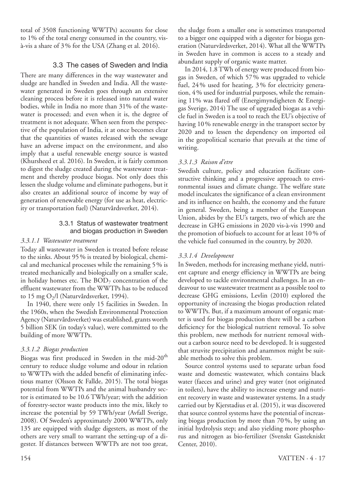total of 3508 functioning WWTPs) accounts for close to 1% of the total energy consumed in the country, visà-vis a share of 3% for the USA (Zhang et al. 2016).

#### 3.3 The cases of Sweden and India

There are many differences in the way wastewater and sludge are handled in Sweden and India. All the wastewater generated in Sweden goes through an extensive cleaning process before it is released into natural water bodies, while in India no more than 31% of the wastewater is processed; and even when it is, the degree of treatment is not adequate. When seen from the perspective of the population of India, it at once becomes clear that the quantities of wastes released with the sewage have an adverse impact on the environment, and also imply that a useful renewable energy source is wasted (Khursheed et al. 2016). In Sweden, it is fairly common to digest the sludge created during the wastewater treatment and thereby produce biogas. Not only does this lessen the sludge volume and eliminate pathogens, but it also creates an additional source of income by way of generation of renewable energy (for use as heat, electricity or transportation fuel) (Naturvårdsverket, 2014).

#### 3.3.1 Status of wastewater treatment and biogas production in Sweden

#### *3.3.1.1 Wastewater treatment*

Today all wastewater in Sweden is treated before release to the sinks. About 95% is treated by biological, chemical and mechanical processes while the remaining 5% is treated mechanically and biologically on a smaller scale, in holiday homes etc. The  $BOD<sub>7</sub>$  concentration of the effluent wastewater from the WWTPs has to be reduced to 15 mg  $O<sub>2</sub>/l$  (Naturvårdsverket, 1994).

In 1940, there were only 15 facilities in Sweden. In the 1960s, when the Swedish Environmental Protection Agency (Naturvårdsverket) was established, grants worth 5 billion SEK (in today's value), were committed to the building of more WWTPs.

#### *3.3.1.2 Biogas production*

Biogas was first produced in Sweden in the mid-20<sup>th</sup> century to reduce sludge volume and odour in relation to WWTPs with the added benefit of eliminating infectious matter (Olsson & Fallde, 2015). The total biogas potential from WWTPs and the animal husbandry sector is estimated to be 10.6 TWh/year; with the addition of forestry-sector waste products into the mix, likely to increase the potential by 59 TWh/year (Avfall Sverige, 2008). Of Sweden's approximately 2000 WWTPs, only 135 are equipped with sludge digesters, as most of the others are very small to warrant the setting-up of a digester. If distances between WWTPs are not too great,

the sludge from a smaller one is sometimes transported to a bigger one equipped with a digester for biogas generation (Naturvårdsverket, 2014). What all the WWTPs in Sweden have in common is access to a steady and abundant supply of organic waste matter.

In 2014, 1.8 TWh of energy were produced from biogas in Sweden, of which 57% was upgraded to vehicle fuel, 24% used for heating, 3% for electricity generation, 4% used for industrial purposes, while the remaining 11% was flared off (Energimyndigheten & Energigas Sverige, 2014) The use of upgraded biogas as a vehicle fuel in Sweden is a tool to reach the EU's objective of having 10% renewable energy in the transport sector by 2020 and to lessen the dependency on imported oil in the geopolitical scenario that prevails at the time of writing.

#### *3.3.1.3 Raison d'etre*

Swedish culture, policy and education facilitate constructive thinking and a progressive approach to environmental issues and climate change. The welfare state model inculcates the significance of a clean environment and its influence on health, the economy and the future in general. Sweden, being a member of the European Union, abides by the EU's targets, two of which are the decrease in GHG emissions in 2020 vis-à-vis 1990 and the promotion of biofuels to account for at least 10% of the vehicle fuel consumed in the country, by 2020.

#### *3.3.1.4 Development*

In Sweden, methods for increasing methane yield, nutrient capture and energy efficiency in WWTPs are being developed to tackle environmental challenges. In an endeavour to use wastewater treatment as a possible tool to decrease GHG emissions, Levlin (2010) explored the opportunity of increasing the biogas production related to WWTPs. But, if a maximum amount of organic matter is used for biogas production there will be a carbon deficiency for the biological nutrient removal. To solve this problem, new methods for nutrient removal without a carbon source need to be developed. It is suggested that struvite precipitation and anammox might be suitable methods to solve this problem.

Source control systems used to separate urban food waste and domestic wastewater, which contains black water (faeces and urine) and grey water (not originated in toilets), have the ability to increase energy and nutrient recovery in waste and wastewater systems. In a study carried out by Kjerstadius et al. (2015), it was discovered that source control systems have the potential of increasing biogas production by more than 70%, by using an initial hydrolysis step; and also yielding more phosphorus and nitrogen as bio-fertilizer (Svenskt Gastekniskt Center, 2010).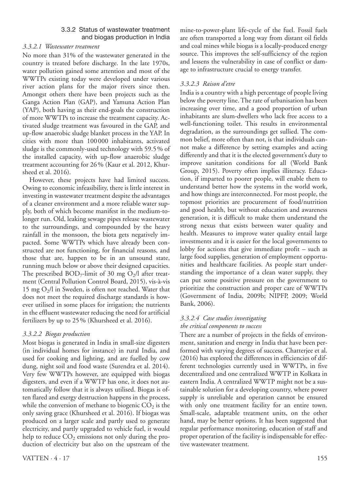#### 3.3.2 Status of wastewater treatment and biogas production in India

#### *3.3.2.1 Wastewater treatment*

No more than 31% of the wastewater generated in the country is treated before discharge. In the late 1970s, water pollution gained some attention and most of the WWTPs existing today were developed under various river action plans for the major rivers since then. Amongst others there have been projects such as the Ganga Action Plan (GAP), and Yamuna Action Plan (YAP), both having as their end-goals the construction of more WWTPs to increase the treatment capacity. Activated sludge treatment was favoured in the GAP, and up-flow anaerobic sludge blanket process in the YAP. In cities with more than 100 000 inhabitants, activated sludge is the commonly-used technology with 59.5% of the installed capacity, with up-flow anaerobic sludge treatment accounting for 26% (Kaur et al. 2012, Khursheed et al. 2016).

However, these projects have had limited success. Owing to economic infeasibility, there is little interest in investing in wastewater treatment despite the advantages of a cleaner environment and a more reliable water supply, both of which become manifest in the medium-tolonger run. Old, leaking sewage pipes release wastewater to the surroundings, and compounded by the heavy rainfall in the monsoon, the biota gets negatively impacted. Some WWTPs which have already been constructed are not functioning, for financial reasons, and those that are, happen to be in an unsound state, running much below or above their designed capacities. The prescribed  $BOD_7$ -limit of 30 mg O<sub>2</sub>/l after treatment (Central Pollution Control Board, 2015), vis-à-vis 15 mg  $O_2/l$  in Sweden, is often not reached. Water that does not meet the required discharge standards is however utilised in some places for irrigation; the nutrients in the effluent wastewater reducing the need for artificial fertilizers by up to 25% (Khursheed et al. 2016).

#### *3.3.2.2 Biogas production*

Most biogas is generated in India in small-size digesters (in individual homes for instance) in rural India, and used for cooking and lighting, and are fuelled by cow dung, night soil and food waste (Surendra et al. 2014). Very few WWTPs however, are equipped with biogas digesters, and even if a WWTP has one, it does not automatically follow that it is always utilised. Biogas is often flared and exergy destruction happens in the process, while the conversion of methane to biogenic  $CO<sub>2</sub>$  is the only saving grace (Khursheed et al. 2016). If biogas was produced on a larger scale and partly used to generate electricity, and partly upgraded to vehicle fuel, it would help to reduce  $CO<sub>2</sub>$  emissions not only during the production of electricity but also on the upstream of the mine-to-power-plant life-cycle of the fuel. Fossil fuels are often transported a long way from distant oil fields and coal mines while biogas is a locally-produced energy source. This improves the self-sufficiency of the region and lessens the vulnerability in case of conflict or damage to infrastructure crucial to energy transfer.

#### *3.3.2.3 Raison d'etre*

India is a country with a high percentage of people living below the poverty line. The rate of urbanisation has been increasing over time, and a good proportion of urban inhabitants are slum-dwellers who lack free access to a well-functioning toilet. This results in environmental degradation, as the surroundings get sullied. The common belief, more often than not, is that individuals cannot make a difference by setting examples and acting differently and that it is the elected government's duty to improve sanitation conditions for all (World Bank Group, 2015). Poverty often implies illiteracy. Education, if imparted to poorer people, will enable them to understand better how the systems in the world work, and how things are interconnected. For most people, the topmost priorities are procurement of food/nutrition and good health, but without education and awareness generation, it is difficult to make them understand the strong nexus that exists between water quality and health. Measures to improve water quality entail large investments and it is easier for the local governments to lobby for actions that give immediate profit – such as large food supplies, generation of employment opportunities and healthcare facilities. As people start understanding the importance of a clean water supply, they can put some positive pressure on the government to prioritize the construction and proper care of WWTPs (Government of India, 2009b; NIPFP, 2009; World Bank, 2006).

# *3.3.2.4 Case studies investigating*

#### *the critical components to success*

There are a number of projects in the fields of environment, sanitation and energy in India that have been performed with varying degrees of success. Chatterjee et al. (2016) has explored the differences in efficiencies of different technologies currently used in WWTPs, in five decentralized and one centralized WWTP in Kolkata in eastern India. A centralized WWTP might not be a sustainable solution for a developing country, where power supply is unreliable and operation cannot be ensured with only one treatment facility for an entire town. Small-scale, adaptable treatment units, on the other hand, may be better options. It has been suggested that regular performance monitoring, education of staff and proper operation of the facility is indispensable for effective wastewater treatment.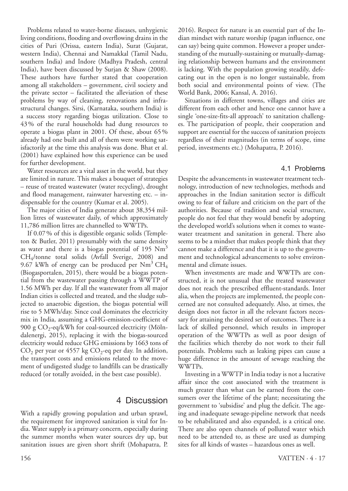Problems related to water-borne diseases, unhygienic living conditions, flooding and overflowing drains in the cities of Puri (Orissa, eastern India), Surat (Gujarat, western India), Chennai and Namakkal (Tamil Nadu, southern India) and Indore (Madhya Pradesh, central India), have been discussed by Surjan & Shaw (2008). These authors have further stated that cooperation among all stakeholders – government, civil society and the private sector – facilitated the alleviation of these problems by way of cleaning, renovations and infrastructural changes. Sirsi, (Karnataka, southern India) is a success story regarding biogas utilization. Close to 43% of the rural households had dung resources to operate a biogas plant in 2001. Of these, about 65% already had one built and all of them were working satisfactorily at the time this analysis was done. Bhat et al. (2001) have explained how this experience can be used for further development.

Water resources are a vital asset in the world, but they are limited in nature. This makes a bouquet of strategies – reuse of treated wastewater (water recycling), drought and flood management, rainwater harvesting etc. – indispensable for the country (Kumar et al. 2005).

The major cities of India generate about 38,354 million litres of wastewater daily, of which approximately 11,786 million litres are channelled to WWTPs.

If 0.07% of this is digestible organic solids (Templeton & Butler, 2011) presumably with the same density as water and there is a biogas potential of 195  $Nm<sup>3</sup>$ CH4/tonne total solids (Avfall Sverige, 2008) and 9.67 kWh of energy can be produced per  $Nm^3$  CH<sub>4</sub> (Biogasportalen, 2015), there would be a biogas potential from the wastewater passing through a WWTP of 1.56 MWh per day. If all the wastewater from all major Indian cities is collected and treated, and the sludge subjected to anaerobic digestion, the biogas potential will rise to 5 MWh/day. Since coal dominates the electricity mix in India, assuming a GHG-emission-coefficient of 900 g  $CO_2$ -eq/kWh for coal-sourced electricity (Mölndalenergi, 2015), replacing it with the biogas-sourced electricity would reduce GHG emissions by 1663 tons of  $CO<sub>2</sub>$  per year or 4557 kg  $CO<sub>2</sub>$ -eq per day. In addition, the transport costs and emissions related to the movement of undigested sludge to landfills can be drastically reduced (or totally avoided, in the best case possible).

### 4 Discussion

With a rapidly growing population and urban sprawl, the requirement for improved sanitation is vital for India. Water supply is a primary concern, especially during the summer months when water sources dry up, but sanitation issues are given short shrift (Mohapatra, P.

2016). Respect for nature is an essential part of the Indian mindset with nature worship (pagan influence, one can say) being quite common. However a proper understanding of the mutually-sustaining or mutually-damaging relationship between humans and the environment is lacking. With the population growing steadily, defecating out in the open is no longer sustainable, from both social and environmental points of view. (The World Bank, 2006; Kansal, A. 2016).

Situations in different towns, villages and cities are different from each other and hence one cannot have a single 'one-size-fits-all approach' to sanitation challenges. The participation of people, their cooperation and support are essential for the success of sanitation projects regardless of their magnitudes (in terms of scope, time period, investments etc.) (Mohapatra, P. 2016).

#### 4.1 Problems

Despite the advancements in wastewater treatment technology, introduction of new technologies, methods and approaches in the Indian sanitation sector is difficult owing to fear of failure and criticism on the part of the authorities. Because of tradition and social structure, people do not feel that they would benefit by adopting the developed world's solutions when it comes to wastewater treatment and sanitation in general. There also seems to be a mindset that makes people think that they cannot make a difference and that it is up to the government and technological advancements to solve environmental and climate issues.

When investments are made and WWTPs are constructed, it is not unusual that the treated wastewater does not reach the prescribed effluent-standards. Inter alia, when the projects are implemented, the people concerned are not consulted adequately. Also, at times, the design does not factor in all the relevant factors necessary for attaining the desired set of outcomes. There is a lack of skilled personnel, which results in improper operation of the WWTPs as well as poor design of the facilities which thereby do not work to their full potentials. Problems such as leaking pipes can cause a huge difference in the amount of sewage reaching the WWTPs.

Investing in a WWTP in India today is not a lucrative affair since the cost associated with the treatment is much greater than what can be earned from the consumers over the lifetime of the plant; necessitating the government to 'subsidise' and plug the deficit. The ageing and inadequate sewage-pipeline network that needs to be rehabilitated and also expanded, is a critical one. There are also open channels of polluted water which need to be attended to, as these are used as dumping sites for all kinds of wastes – hazardous ones as well.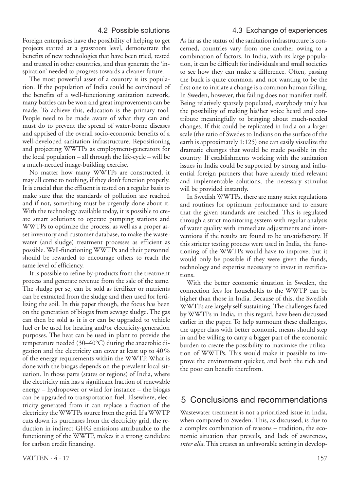#### 4.2 Possible solutions

Foreign enterprises have the possibility of helping to get projects started at a grassroots level, demonstrate the benefits of new technologies that have been tried, tested and trusted in other countries, and thus generate the 'inspiration' needed to progress towards a cleaner future.

The most powerful asset of a country is its population. If the population of India could be convinced of the benefits of a well-functioning sanitation network, many battles can be won and great improvements can be made. To achieve this, education is the primary tool. People need to be made aware of what they can and must do to prevent the spread of water-borne diseases and apprised of the overall socio-economic benefits of a well-developed sanitation infrastructure. Repositioning and projecting WWTPs as employment-generators for the local population – all through the life-cycle – will be a much-needed image-building exercise.

No matter how many WWTPs are constructed, it may all come to nothing, if they don't function properly. It is crucial that the effluent is tested on a regular basis to make sure that the standards of pollution are reached and if not, something must be urgently done about it. With the technology available today, it is possible to create smart solutions to operate pumping stations and WWTPs to optimize the process, as well as a proper asset inventory and customer database, to make the wastewater (and sludge) treatment processes as efficient as possible. Well-functioning WWTPs and their personnel should be rewarded to encourage others to reach the same level of efficiency.

It is possible to refine by-products from the treatment process and generate revenue from the sale of the same. The sludge per se, can be sold as fertilizer or nutrients can be extracted from the sludge and then used for fertilizing the soil. In this paper though, the focus has been on the generation of biogas from sewage sludge. The gas can then be sold as it is or can be upgraded to vehicle fuel or be used for heating and/or electricity-generation purposes. The heat can be used in plant to provide the temperature needed (30–40°C) during the anaerobic digestion and the electricity can cover at least up to 40% of the energy requirements within the WWTP. What is done with the biogas depends on the prevalent local situation. In those parts (states or regions) of India, where the electricity mix has a significant fraction of renewable energy – hydropower or wind for instance – the biogas can be upgraded to transportation fuel. Elsewhere, electricity generated from it can replace a fraction of the electricity the WWTPs source from the grid. If a WWTP cuts down its purchases from the electricity grid, the reduction in indirect GHG emissions attributable to the functioning of the WWTP, makes it a strong candidate for carbon credit financing.

As far as the status of the sanitation infrastructure is concerned, countries vary from one another owing to a combination of factors. In India, with its large population, it can be difficult for individuals and small societies to see how they can make a difference. Often, passing the buck is quite common, and not wanting to be the first one to initiate a change is a common human failing. In Sweden, however, this failing does not manifest itself. Being relatively sparsely populated, everybody truly has the possibility of making his/her voice heard and contribute meaningfully to bringing about much-needed changes. If this could be replicated in India on a larger scale (the ratio of Swedes to Indians on the surface of the earth is approximately 1:125) one can easily visualize the dramatic changes that would be made possible in the country. If establishments working with the sanitation issues in India could be supported by strong and influential foreign partners that have already tried relevant and implementable solutions, the necessary stimulus will be provided instantly.

In Swedish WWTPs, there are many strict regulations and routines for optimum performance and to ensure that the given standards are reached. This is regulated through a strict monitoring system with regular analysis of water quality with immediate adjustments and interventions if the results are found to be unsatisfactory. If this stricter testing process were used in India, the functioning of the WWTPs would have to improve, but it would only be possible if they were given the funds, technology and expertise necessary to invest in rectifications.

With the better economic situation in Sweden, the connection fees for households to the WWTP can be higher than those in India. Because of this, the Swedish WWTPs are largely self-sustaining. The challenges faced by WWTPs in India, in this regard, have been discussed earlier in the paper. To help surmount these challenges, the upper class with better economic means should step in and be willing to carry a bigger part of the economic burden to create the possibility to maximise the utilisation of WWTPs. This would make it possible to improve the environment quicker, and both the rich and the poor can benefit therefrom.

# 5 Conclusions and recommendations

Wastewater treatment is not a prioritized issue in India, when compared to Sweden. This, as discussed, is due to a complex combination of reasons – tradition, the economic situation that prevails, and lack of awareness, *inter alia*. This creates an unfavorable setting in develop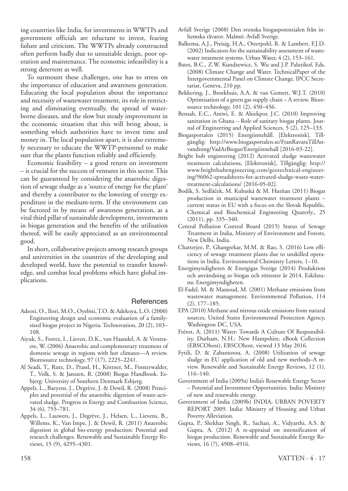ing countries like India, for investments in WWTPs and government officials are reluctant to invest, fearing failure and criticism. The WWTPs already constructed often perform badly due to unsuitable design, poor operation and maintenance. The economic infeasibility is a strong deterrent as well.

To surmount these challenges, one has to stress on the importance of education and awareness generation. Educating the local population about the importance and necessity of wastewater treatment, its role in restricting and eliminating eventually, the spread of waterborne diseases, and the slow but steady improvement in the economic situation that this will bring about, is something which authorities have to invest time and money in. The local population apart, it is also extremely necessary to educate the WWTP-personnel to make sure that the plants function reliably and efficiently.

Economic feasibility – a good return on investment – is crucial for the success of ventures in this sector. This can be guaranteed by considering the anaerobic digestion of sewage sludge as a 'source of energy for the plant' and thereby a contributor to the lowering of energy expenditure in the medium-term. If the environment can be factored in by means of awareness generation, as a vital third pillar of sustainable development, investments in biogas generation and the benefits of the utilisation thereof, will be easily appreciated as an environmental good.

In short, collaborative projects among research groups and universities in the countries of the developing and developed world, have the potential to transfer knowledge, and combat local problems which have global implications.

#### **References**

- Adeoti, O., Ilori, M.O., Oyebisi, T.O. & Adekoya, L.O. (2000) Engineering design and economic evaluation of a familysized biogas project in Nigeria. Technovation, 20 (2), 103– 108.
- Aiyuk, S., Forrez, I., Lieven, D.K., van Haandel, A. & Verstraete, W. (2006) Anaerobic and complementary treatment of domestic sewage in regions with hot climates—A review. Bioresource technology, 97 (17), 2225–2241.
- Al Seadi, T., Rutz, D., Prassl, H., Köttner, M., Finsterwalder, T., Volk, S. & Janssen, R. (2008) Biogas Handbook. Esbjerg: University of Southern Denmark Esbjerg.
- Appels, L., Baeyens, J., Degrève, J. & Dewil, R. (2008) Principles and potential of the anaerobic digestion of waste-activated sludge. Progress in Energy and Combustion Science, 34 (6), 755–781.
- Appels, L., Lauwers, J., Degrève, J., Helsen, L., Lievens, B., Willems, K., Van Impe, J. & Dewil, R. (2011) Anaerobic digestion in global bio-energy production: Potential and research challenges. Renewable and Sustainable Energy Reviews, 15 (9), 4295–4301.
- Avfall Sverige (2008) Den svenska biogaspotentialen från inhemska råvaror. Malmö: Avfall Sverige.
- Balkema, A.J., Preisig, H.A., Otterpohl, R. & Lambert, F.J.D. (2002) Indicators for the sustainability assessment of wastewater treatment systems. Urban Water, 4 (2), 153–161.
- Bates, B.C., Z.W. Kundzewicz, S. Wu and J.P. Palutikof, Eds. (2008) Climate Change and Water. TechnicalPaper of the Intergovernmental Panel on Climate Change, IPCC Secretariat, Geneva, 210 pp.
- Bekkering, J., Broekhuis, A.A. & van Gemert, W.J.T. (2010) Optimisation of a green gas supply chain – A review. Bioresource technology, 101 (2), 450-456.
- Bensah, E.C., Antwi, E. & Ahiekpor, J.C. (2010) Improving sanitation in Ghana – Role of sanitary biogas plants. Journal of Engineering and Applied Sciences, 5 (2), 125–133.
- Biogasportalen (2015) Energiinnehåll. [Elektronisk]. Tillgänglig: http://www.biogasportalen.se/FranRavaraTillAnvandning/VadArBiogas/Energiinnehall [2016-03-22].
- Bright hub engineering (2012) Activated sludge wastewater treatment calculations, [Elektronisk], Tillgänglig: http:// www.brighthubengineering.com/geotechnical-engineering/96062-spreadsheets-for-activated-sludge-waste-watertreatment-calculations/ [2016-05-02].
- Bodík, S. Sedláček, M. Kubaská & M. Hutňan (2011) Biogas production in municipal wastewater treatment plants – current status in EU with a focus on the Slovak Republic. Chemical and Biochemical Engineering Quaterly., 25 (2011), pp. 335–340.
- Central Pollution Control Board (2015) Status of Sewage Treatment in India, Ministry of Environment and Forests, New Delhi, India.
- Chatterjee, P., Ghangrekar, M.M. & Rao, S. (2016) Low efficiency of sewage treatment plants due to unskilled operations in India. Environmental Chemistry Letters, 1–10.
- Energimyndigheten & Energigas Sverige (2014) Produktion och användning av biogas och rötrester år 2014. Eskilstuna: Energimyndigheten.
- El-Fadel, M. & Massoud, M. (2001) Methane emissions from wastewater management. Environmental Pollution, 114 (2), 177–185.
- EPA (2010) Methane and nitrous oxide emissions from natural sources, United States Environmental Protection Agency, Washington DC, USA.
- Frérot, A. (2011) Water: Towards A Culture Of Responsibility, Durham, N.H.: New Hampshire, eBook Collection (EBSCOhost), EBSCOhost, viewed 13 May 2016.
- Fytili, D. & Zabaniotou, A. (2008) Utilization of sewage sludge in EU application of old and new methods–A review. Renewable and Sustainable Energy Reviews, 12 (1), 116–140.
- Government of India (2009a) India's Renewable Energy Sector – Potential and Investment Opportunities. India: Ministry of new and renewable energy.
- Government of India (2009b) INDIA: URBAN POVERTY REPORT 2009. India: Ministry of Housing and Urban Poverty Alleviation.
- Gupta, P., Shekhar Singh, R., Sachan, A., Vidyarthi, A.S. & Gupta, A. (2012) A re-appraisal on intensification of biogas production. Renewable and Sustainable Energy Reviews, 16 (7), 4908–4916.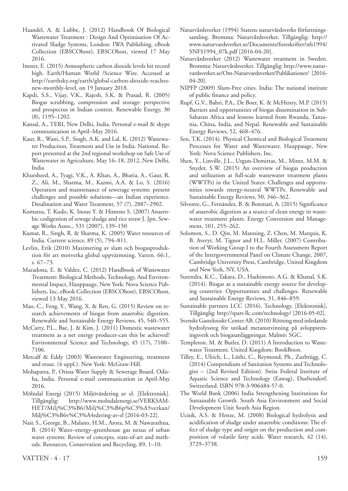- Haandel, A. & Lubbe, J. (2012) Handbook Of Biological Wastewater Treatment : Design And Optimisation Of Activated Sludge Systems, London: IWA Publishing, eBook Collection (EBSCOhost), EBSCOhost, viewed 17 May 2016.
- Imster, E. (2015) Atmospheric carbon dioxide levels hit record high. Earth/Human World /Science Wire. Accessed at http://earthsky.org/earth/global-carbon-dioxide-reachesnew-monthly-level, on 19 January 2018.
- Kapdi, S.S., Vijay, V.K., Rajesh, S.K. & Prasad, R. (2005) Biogas scrubbing, compression and storage: perspective and prospectus in Indian context. Renewable Energy, 30 (8), 1195–1202.
- Kansal, A., TERI, New Delhi, India. Personal e-mail & skype communication in April–May 2016.
- Kaur, R., Wani, S.P., Singh, A.K. and Lal, K. (2012) Wastewater Production, Treatment and Use in India. National. Report presented at the 2nd regional workshop on Safe Use of Wastewater in Agriculture, May 16–18, 2012, New Delhi, India
- Khursheed, A., Tyagi, V.K., A. Khan, A., Bhatia, A., Gaur, R. Z., Ali, M., Sharma, M., Kazmi, A.A. & Lo, S. (2016) Operation and maintenance of sewerage systems: present challenges and possible solutions—an Indian experience. Desalination and Water Treatment, 57 (7), 2887–2902.
- Komatsu, T. Kudo, K. Inoue Y. & Himeno S. (2007) Anaerobic codigestion of sewage sludge and rice straw J. Jpn. Sewage Works Assoc., 531 (2007), 139–150
- Kumar, R., Singh, R. & Sharma, K. (2005) Water resources of India. Current science, 89 (5), 794–811.
- Levlin, Erik (2010) Maximering av slam och biogasproduktion för att motverka global uppvärmning. Vatten. 66:1, s. 67–73.
- Maradona, E. & Valdez, C. (2012) Handbook of Wastewater Treatment: Biological Methods, Technology, And Environmental Impact, Hauppauge, New York: Nova Science Publishers, Inc, eBook Collection (EBSCOhost), EBSCOhost, viewed 13 May 2016.
- Mao, C., Feng, Y., Wang, X. & Ren, G. (2015) Review on research achievements of biogas from anaerobic digestion. Renewable and Sustainable Energy Reviews, 45, 540–555.
- McCarty, P.L., Bae, J. & Kim, J. (2011) Domestic wastewater treatment as a net energy producer-can this be achieved? Environmental Science and Technology, 45 (17), 7100– 7106.
- Metcalf & Eddy (2003) Wastewater Engineering, treatment and reuse. (4 uppl.). New York: McGraw-Hill.
- Mohapatra, P., Orissa Water Supply & Sewerage Board, Odisha, India. Personal e-mail communication in April-May 2016.
- Mölndal Energi (2015) Miljövärdering av el. [Elektronisk]. Tillgänglig: http://www.molndalenergi.se/VERKSAM-HET/Milj%C3%B6/Milj%C3%B6p%C3%A5verkan/ Milj%C3%B6v%C3%A4rdering-av-el [2016-03-22].
- Nair, S., George, B., Malano, H.M., Arora, M. & Nawarathna, B. (2014) Water–energy–greenhouse gas nexus of urban water systems: Review of concepts, state-of-art and methods. Resources, Conservation and Recycling, 89, 1–10.
- Naturvårdsverket (1994) Statens naturvårdsverks författningssamling. Bromma: Naturvårdsverket. Tillgänglig: http:// www.naturvardsverket.se/Documents/foreskrifter/nfs1994/ SNFS1994\_07k.pdf [2016-04-20].
- Naturvårdsverket (2012) Wastewater treatment in Sweden. Bromma: Naturvårdsverket. Tillgänglig: http://www.naturvardsverket.se/Om-Naturvardsverket/Publikationer/ [2016- 04-20].
- NIPFP (2009) Slum-Free cities. India: The national institute of public finance and policy.
- Rupf, G.V., Bahri, P.A., De Boer, K. & McHenry, M.P. (2015) Barriers and opportunities of biogas dissemination in Sub-Saharan Africa and lessons learned from Rwanda, Tanzania, China, India, and Nepal. Renewable and Sustainable Energy Reviews, 52, 468–476.
- Sen, T.K. (2014). Physical Chemical and Biological Treatment Processes for Water and Wastewater. Hauppauge, New York: Nova Science Publishers, Inc.
- Shen, Y., Linville, J.L., Urgun-Demirtas, M., Mintz, M.M. & Snyder, S.W. (2015) An overview of biogas production and utilization at full-scale wastewater treatment plants (WWTPs) in the United States: Challenges and opportunities towards energy-neutral WWTPs. Renewable and Sustainable Energy Reviews, 50, 346–362.
- Silvestre, G., Fernández, B. & Bonmatí, A. (2015) Significance of anaerobic digestion as a source of clean energy in wastewater treatment plants. Energy Conversion and Management, 101, 255–262.
- Solomon, S., D. Qin, M. Manning, Z. Chen, M. Marquis, K. B. Averyt, M. Tignor and H.L. Miller. (2007) Contribution of Working Group I to the Fourth Assessment Report of the Intergovernmental Panel on Climate Change, 2007, Cambridge University Press, Cambridge, United Kingdom and New York, NY, USA.
- Surendra, K.C., Takara, D., Hashimoto, A.G. & Khanal, S.K. (2014). Biogas as a sustainable energy source for developing countries: Opportunities and challenges. Renewable and Sustainable Energy Reviews, 31, 846–859.
- Sustainable partners LCC (2016), Technology, [Elektronisk], Tillgänglig: http://spart-llc.com/technology/ [2016-05-02].
- Svenskt Gastekniskt Center AB. (2010) Rötning med inledande hydrolyssteg för utökad metanutvinning på avloppsreningsverk och biogasanläggningar. Malmö: SGC.
- Templeton, M. & Butler, D. (2011) A Introduction to Wastewater Treatment. United Kingdom: BookBoon.
- Tilley, E., Ulrich, L., Lüthi, C., Reymond, Ph., Zurbrügg, C. (2014) Compendium of Sanitation Systems and Technologies – (2nd Revised Edition). Swiss Federal Institute of Aquatic Science and Technology (Eawag), Duebendorf, Switzerland. ISBN 978-3-906484-57-0.
- The World Bank (2006) India Strengthening Institutions for Sustainable Growth. South Asia Environment and Social Development Unit South Asia Region.
- Ucisik, A.S. & Henze, M. (2008) Biological hydrolysis and acidification of sludge under anaerobic conditions: The effect of sludge type and origin on the production and composition of volatile fatty acids. Water research, 42 (14), 3729–3738.